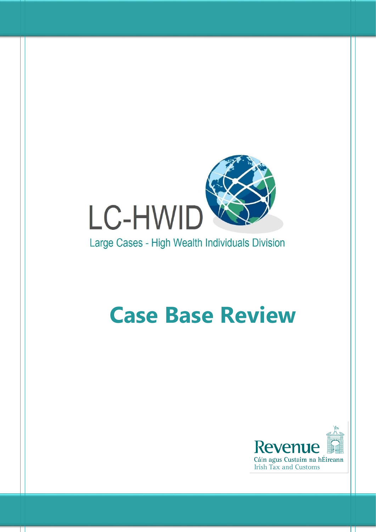

Large Cases - High Wealth Individuals Division

П

# **Case Base Review**



П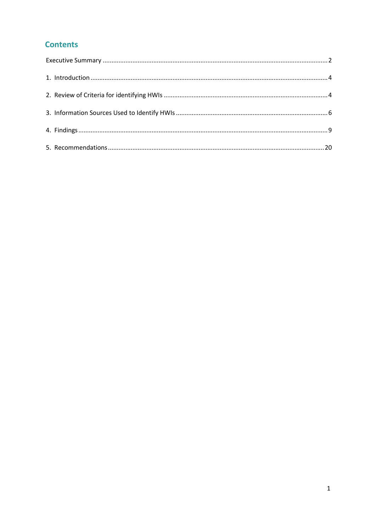# **Contents**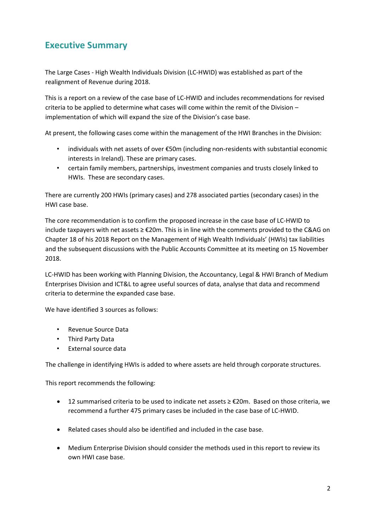# <span id="page-2-0"></span>**Executive Summary**

The Large Cases - High Wealth Individuals Division (LC-HWID) was established as part of the realignment of Revenue during 2018.

This is a report on a review of the case base of LC-HWID and includes recommendations for revised criteria to be applied to determine what cases will come within the remit of the Division – implementation of which will expand the size of the Division's case base.

At present, the following cases come within the management of the HWI Branches in the Division:

- individuals with net assets of over €50m (including non-residents with substantial economic interests in Ireland). These are primary cases.
- certain family members, partnerships, investment companies and trusts closely linked to HWIs. These are secondary cases.

There are currently 200 HWIs (primary cases) and 278 associated parties (secondary cases) in the HWI case base.

The core recommendation is to confirm the proposed increase in the case base of LC-HWID to include taxpayers with net assets ≥ €20m. This is in line with the comments provided to the C&AG on Chapter 18 of his 2018 Report on the Management of High Wealth Individuals' (HWIs) tax liabilities and the subsequent discussions with the Public Accounts Committee at its meeting on 15 November 2018.

LC-HWID has been working with Planning Division, the Accountancy, Legal & HWI Branch of Medium Enterprises Division and ICT&L to agree useful sources of data, analyse that data and recommend criteria to determine the expanded case base.

We have identified 3 sources as follows:

- Revenue Source Data
- Third Party Data
- External source data

The challenge in identifying HWIs is added to where assets are held through corporate structures.

This report recommends the following:

- 12 summarised criteria to be used to indicate net assets ≥ €20m. Based on those criteria, we recommend a further 475 primary cases be included in the case base of LC-HWID.
- Related cases should also be identified and included in the case base.
- Medium Enterprise Division should consider the methods used in this report to review its own HWI case base.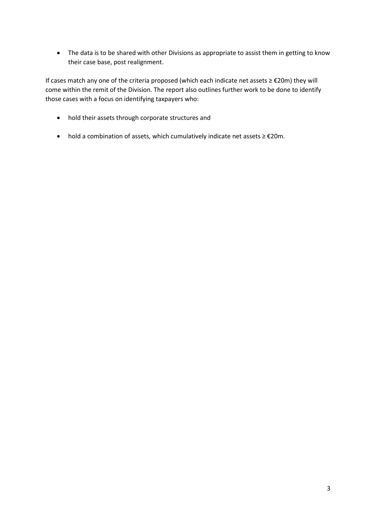• The data is to be shared with other Divisions as appropriate to assist them in getting to know their case base, post realignment.

If cases match any one of the criteria proposed (which each indicate net assets ≥ €20m) they will come within the remit of the Division. The report also outlines further work to be done to identify those cases with a focus on identifying taxpayers who:

- hold their assets through corporate structures and
- hold a combination of assets, which cumulatively indicate net assets ≥ €20m.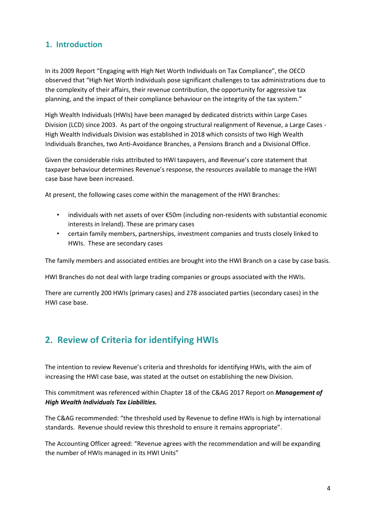# <span id="page-4-0"></span>**1. Introduction**

In its 2009 Report "Engaging with High Net Worth Individuals on Tax Compliance", the OECD observed that "High Net Worth Individuals pose significant challenges to tax administrations due to the complexity of their affairs, their revenue contribution, the opportunity for aggressive tax planning, and the impact of their compliance behaviour on the integrity of the tax system."

High Wealth Individuals (HWIs) have been managed by dedicated districts within Large Cases Division (LCD) since 2003. As part of the ongoing structural realignment of Revenue, a Large Cases - High Wealth Individuals Division was established in 2018 which consists of two High Wealth Individuals Branches, two Anti-Avoidance Branches, a Pensions Branch and a Divisional Office.

Given the considerable risks attributed to HWI taxpayers, and Revenue's core statement that taxpayer behaviour determines Revenue's response, the resources available to manage the HWI case base have been increased.

At present, the following cases come within the management of the HWI Branches:

- individuals with net assets of over €50m (including non-residents with substantial economic interests in Ireland). These are primary cases
- certain family members, partnerships, investment companies and trusts closely linked to HWIs. These are secondary cases

The family members and associated entities are brought into the HWI Branch on a case by case basis.

HWI Branches do not deal with large trading companies or groups associated with the HWIs.

There are currently 200 HWIs (primary cases) and 278 associated parties (secondary cases) in the HWI case base.

# <span id="page-4-1"></span>**2. Review of Criteria for identifying HWIs**

The intention to review Revenue's criteria and thresholds for identifying HWIs, with the aim of increasing the HWI case base, was stated at the outset on establishing the new Division.

This commitment was referenced within Chapter 18 of the C&AG 2017 Report on *Management of High Wealth Individuals Tax Liabilities.*

The C&AG recommended: "the threshold used by Revenue to define HWIs is high by international standards. Revenue should review this threshold to ensure it remains appropriate".

The Accounting Officer agreed: "Revenue agrees with the recommendation and will be expanding the number of HWIs managed in its HWI Units"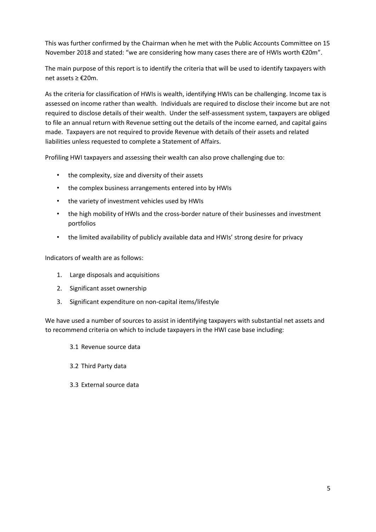This was further confirmed by the Chairman when he met with the Public Accounts Committee on 15 November 2018 and stated: "we are considering how many cases there are of HWIs worth €20m".

The main purpose of this report is to identify the criteria that will be used to identify taxpayers with net assets ≥ €20m.

As the criteria for classification of HWIs is wealth, identifying HWIs can be challenging. Income tax is assessed on income rather than wealth. Individuals are required to disclose their income but are not required to disclose details of their wealth. Under the self-assessment system, taxpayers are obliged to file an annual return with Revenue setting out the details of the income earned, and capital gains made. Taxpayers are not required to provide Revenue with details of their assets and related liabilities unless requested to complete a Statement of Affairs.

Profiling HWI taxpayers and assessing their wealth can also prove challenging due to:

- the complexity, size and diversity of their assets
- the complex business arrangements entered into by HWIs
- the variety of investment vehicles used by HWIs
- the high mobility of HWIs and the cross-border nature of their businesses and investment portfolios
- the limited availability of publicly available data and HWIs' strong desire for privacy

Indicators of wealth are as follows:

- 1. Large disposals and acquisitions
- 2. Significant asset ownership
- 3. Significant expenditure on non-capital items/lifestyle

We have used a number of sources to assist in identifying taxpayers with substantial net assets and to recommend criteria on which to include taxpayers in the HWI case base including:

- 3.1 Revenue source data
- 3.2 Third Party data
- 3.3 External source data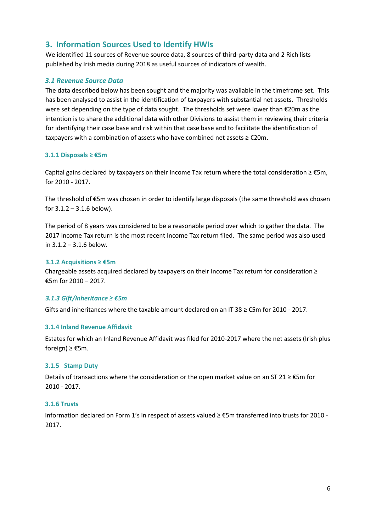# <span id="page-6-0"></span>**3. Information Sources Used to Identify HWIs**

We identified 11 sources of Revenue source data, 8 sources of third-party data and 2 Rich lists published by Irish media during 2018 as useful sources of indicators of wealth.

# *3.1 Revenue Source Data*

The data described below has been sought and the majority was available in the timeframe set. This has been analysed to assist in the identification of taxpayers with substantial net assets. Thresholds were set depending on the type of data sought. The thresholds set were lower than €20m as the intention is to share the additional data with other Divisions to assist them in reviewing their criteria for identifying their case base and risk within that case base and to facilitate the identification of taxpayers with a combination of assets who have combined net assets ≥ €20m.

## **3.1.1 Disposals ≥ €5m**

Capital gains declared by taxpayers on their Income Tax return where the total consideration ≥ €5m, for 2010 - 2017.

The threshold of €5m was chosen in order to identify large disposals (the same threshold was chosen for 3.1.2 – 3.1.6 below).

The period of 8 years was considered to be a reasonable period over which to gather the data. The 2017 Income Tax return is the most recent Income Tax return filed. The same period was also used in 3.1.2 – 3.1.6 below.

# **3.1.2 Acquisitions ≥ €5m**

Chargeable assets acquired declared by taxpayers on their Income Tax return for consideration ≥ €5m for 2010 – 2017.

## *3.1.3 Gift/Inheritance ≥ €5m*

Gifts and inheritances where the taxable amount declared on an IT 38 ≥ €5m for 2010 - 2017.

## **3.1.4 Inland Revenue Affidavit**

Estates for which an Inland Revenue Affidavit was filed for 2010-2017 where the net assets (Irish plus foreign)  $\geq$  €5m.

## **3.1.5 Stamp Duty**

Details of transactions where the consideration or the open market value on an ST 21  $\geq$  €5m for 2010 - 2017.

## **3.1.6 Trusts**

Information declared on Form 1's in respect of assets valued ≥ €5m transferred into trusts for 2010 - 2017.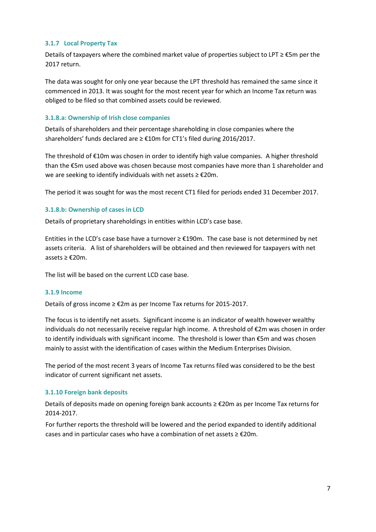# **3.1.7 Local Property Tax**

Details of taxpayers where the combined market value of properties subject to LPT ≥ €5m per the 2017 return.

The data was sought for only one year because the LPT threshold has remained the same since it commenced in 2013. It was sought for the most recent year for which an Income Tax return was obliged to be filed so that combined assets could be reviewed.

## **3.1.8.a: Ownership of Irish close companies**

Details of shareholders and their percentage shareholding in close companies where the shareholders' funds declared are ≥ €10m for CT1's filed during 2016/2017.

The threshold of €10m was chosen in order to identify high value companies. A higher threshold than the €5m used above was chosen because most companies have more than 1 shareholder and we are seeking to identify individuals with net assets ≥ €20m.

The period it was sought for was the most recent CT1 filed for periods ended 31 December 2017.

# **3.1.8.b: Ownership of cases in LCD**

Details of proprietary shareholdings in entities within LCD's case base.

Entities in the LCD's case base have a turnover ≥ €190m. The case base is not determined by net assets criteria. A list of shareholders will be obtained and then reviewed for taxpayers with net assets ≥ €20m.

The list will be based on the current LCD case base.

## **3.1.9 Income**

Details of gross income ≥ €2m as per Income Tax returns for 2015-2017.

The focus is to identify net assets. Significant income is an indicator of wealth however wealthy individuals do not necessarily receive regular high income. A threshold of €2m was chosen in order to identify individuals with significant income. The threshold is lower than €5m and was chosen mainly to assist with the identification of cases within the Medium Enterprises Division.

The period of the most recent 3 years of Income Tax returns filed was considered to be the best indicator of current significant net assets.

## **3.1.10 Foreign bank deposits**

Details of deposits made on opening foreign bank accounts ≥ €20m as per Income Tax returns for 2014-2017.

For further reports the threshold will be lowered and the period expanded to identify additional cases and in particular cases who have a combination of net assets ≥ €20m.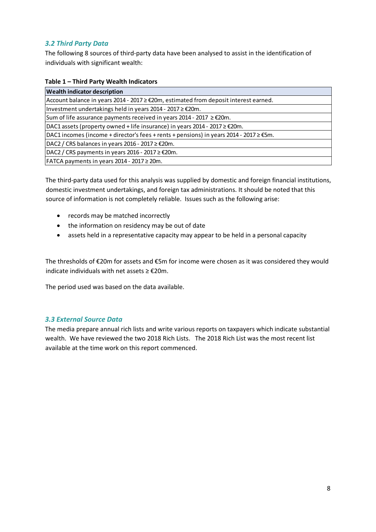# *3.2 Third Party Data*

The following 8 sources of third-party data have been analysed to assist in the identification of individuals with significant wealth:

## **Table 1 – Third Party Wealth Indicators**

| <b>Wealth indicator description</b>                                                         |
|---------------------------------------------------------------------------------------------|
| Account balance in years 2014 - 2017 ≥ €20m, estimated from deposit interest earned.        |
| Investment undertakings held in years 2014 - 2017 ≥ €20m.                                   |
| Sum of life assurance payments received in years 2014 - 2017 $\geq \epsilon$ 20m.           |
| DAC1 assets (property owned + life insurance) in years 2014 - 2017 ≥ €20m.                  |
| DAC1 incomes (income + director's fees + rents + pensions) in years 2014 - 2017 $\geq$ €5m. |
| DAC2 / CRS balances in years 2016 - 2017 ≥ €20m.                                            |
| DAC2 / CRS payments in years 2016 - 2017 $\geq$ £20m.                                       |
| FATCA payments in years 2014 - 2017 ≥ 20m.                                                  |

The third-party data used for this analysis was supplied by domestic and foreign financial institutions, domestic investment undertakings, and foreign tax administrations. It should be noted that this source of information is not completely reliable. Issues such as the following arise:

- records may be matched incorrectly
- the information on residency may be out of date
- assets held in a representative capacity may appear to be held in a personal capacity

The thresholds of €20m for assets and €5m for income were chosen as it was considered they would indicate individuals with net assets ≥ €20m.

The period used was based on the data available.

## *3.3 External Source Data*

The media prepare annual rich lists and write various reports on taxpayers which indicate substantial wealth. We have reviewed the two 2018 Rich Lists. The 2018 Rich List was the most recent list available at the time work on this report commenced.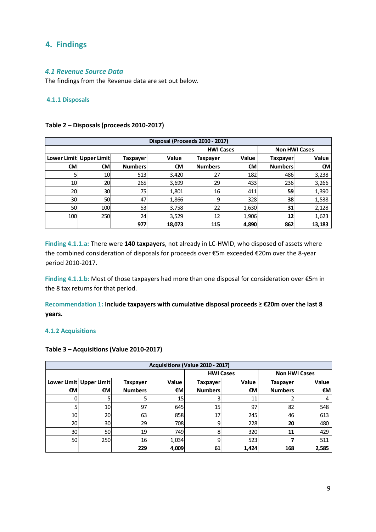# <span id="page-9-0"></span>**4. Findings**

# *4.1 Revenue Source Data*

The findings from the Revenue data are set out below.

#### **4.1.1 Disposals**

## **Table 2 – Disposals (proceeds 2010-2017)**

| Disposal (Proceeds 2010 - 2017) |                           |                |        |                  |       |                      |        |  |  |
|---------------------------------|---------------------------|----------------|--------|------------------|-------|----------------------|--------|--|--|
|                                 |                           |                |        | <b>HWI Cases</b> |       | <b>Non HWI Cases</b> |        |  |  |
|                                 | Lower Limit   Upper Limit | Taxpayer       | Value  | Taxpayer         | Value | Taxpayer             | Value  |  |  |
| €M                              | €M                        | <b>Numbers</b> | €M     | <b>Numbers</b>   | €M    | <b>Numbers</b>       | €M     |  |  |
|                                 | 10                        | 513            | 3,420  | 27               | 182   | 486                  | 3,238  |  |  |
| 10                              | 20                        | 265            | 3,699  | 29               | 433   | 236                  | 3,266  |  |  |
| 20                              | 30                        | 75             | 1,801  | 16               | 411   | 59                   | 1,390  |  |  |
| 30                              | 50                        | 47             | 1,866  | 9                | 328   | 38                   | 1,538  |  |  |
| 50                              | 100                       | 53             | 3,758  | 22               | 1,630 | 31                   | 2,128  |  |  |
| 100                             | 250                       | 24             | 3,529  | 12               | 1,906 | 12                   | 1,623  |  |  |
|                                 |                           | 977            | 18,073 | 115              | 4,890 | 862                  | 13,183 |  |  |

**Finding 4.1.1.a:** There were **140 taxpayers**, not already in LC-HWID, who disposed of assets where the combined consideration of disposals for proceeds over €5m exceeded €20m over the 8-year period 2010-2017.

**Finding 4.1.1.b:** Most of those taxpayers had more than one disposal for consideration over €5m in the 8 tax returns for that period.

**Recommendation 1: Include taxpayers with cumulative disposal proceeds ≥ €20m over the last 8 years.** 

#### **4.1.2 Acquisitions**

#### **Table 3 – Acquisitions (Value 2010-2017)**

| Acquisitions (Value 2010 - 2017) |                           |                |       |                |                  |                      |       |  |  |
|----------------------------------|---------------------------|----------------|-------|----------------|------------------|----------------------|-------|--|--|
|                                  |                           |                |       |                | <b>HWI Cases</b> | <b>Non HWI Cases</b> |       |  |  |
|                                  | Lower Limit   Upper Limit | Taxpayer       | Value | Taxpayer       | Value            | Taxpayer             | Value |  |  |
| €M                               | €M                        | <b>Numbers</b> | €M    | <b>Numbers</b> | €M               | <b>Numbers</b>       | €M    |  |  |
| 0                                | 5                         | 5              | 15    |                | 11               |                      |       |  |  |
| 5                                | 10                        | 97             | 645   | 15             | 97               | 82                   | 548   |  |  |
| 10                               | 20                        | 63             | 858   | 17             | 245              | 46                   | 613   |  |  |
| 20                               | 30                        | 29             | 708   | 9              | 228              | 20                   | 480   |  |  |
| 30                               | 50                        | 19             | 749   | 8              | 320              | 11                   | 429   |  |  |
| 50                               | 250                       | 16             | 1,034 | 9              | 523              |                      | 511   |  |  |
|                                  |                           | 229            | 4,009 | 61             | 1,424            | 168                  | 2,585 |  |  |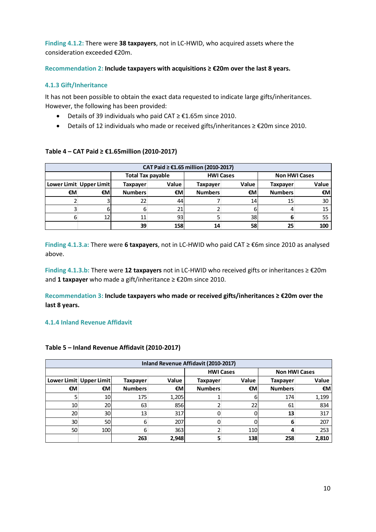**Finding 4.1.2:** There were **38 taxpayers**, not in LC-HWID, who acquired assets where the consideration exceeded €20m.

# **Recommendation 2: Include taxpayers with acquisitions ≥ €20m over the last 8 years.**

# **4.1.3 Gift/Inheritance**

It has not been possible to obtain the exact data requested to indicate large gifts/inheritances. However, the following has been provided:

- Details of 39 individuals who paid CAT ≥ €1.65m since 2010.
- Details of 12 individuals who made or received gifts/inheritances ≥ €20m since 2010.

| CAT Paid ≥ €1.65 million (2010-2017) |                         |                          |       |                  |       |                      |       |  |  |
|--------------------------------------|-------------------------|--------------------------|-------|------------------|-------|----------------------|-------|--|--|
|                                      |                         | <b>Total Tax payable</b> |       | <b>HWI Cases</b> |       | <b>Non HWI Cases</b> |       |  |  |
|                                      | Lower Limit Upper Limit | Taxpayer                 | Value | <b>Taxpayer</b>  | Value | <b>Taxpayer</b>      | Value |  |  |
| €M                                   | €M                      | <b>Numbers</b>           | €M    | <b>Numbers</b>   | €M    | <b>Numbers</b>       | €M    |  |  |
|                                      |                         | 22                       | 44    |                  | 14    | 15                   | 30    |  |  |
|                                      | 6                       | 6                        |       |                  |       |                      | 15    |  |  |
| 6                                    | 12                      | 11                       | 93    |                  | 38    |                      | 55    |  |  |
|                                      |                         | 39                       | 158   | 14               | 58    |                      | 100   |  |  |

# **Table 4 – CAT Paid ≥ €1.65million (2010-2017)**

**Finding 4.1.3.a:** There were **6 taxpayers**, not in LC-HWID who paid CAT ≥ €6m since 2010 as analysed above.

**Finding 4.1.3.b:** There were **12 taxpayers** not in LC-HWID who received gifts or inheritances ≥ €20m and **1 taxpayer** who made a gift/inheritance ≥ €20m since 2010.

**Recommendation 3: Include taxpayers who made or received gifts/inheritances ≥ €20m over the last 8 years.** 

# **4.1.4 Inland Revenue Affidavit**

## **Table 5 – Inland Revenue Affidavit (2010-2017)**

|    | Inland Revenue Affidavit (2010-2017) |                |       |                |                  |                      |       |  |  |  |
|----|--------------------------------------|----------------|-------|----------------|------------------|----------------------|-------|--|--|--|
|    |                                      |                |       |                | <b>HWI Cases</b> | <b>Non HWI Cases</b> |       |  |  |  |
|    | Lower Limit Upper Limit              | Taxpayer       | Value | Taxpayer       | Value            | Taxpayer             | Value |  |  |  |
| €M | €M                                   | <b>Numbers</b> | €M    | <b>Numbers</b> | €M               | <b>Numbers</b>       | €M    |  |  |  |
|    | 10                                   | 175            | 1,205 |                | 6                | 174                  | 1,199 |  |  |  |
| 10 | 20                                   | 63             | 856   |                | 22               | 61                   | 834   |  |  |  |
| 20 | 30                                   | 13             | 317   |                |                  | 13                   | 317   |  |  |  |
| 30 | 50                                   | 6              | 207   |                |                  | 6                    | 207   |  |  |  |
| 50 | 100                                  | 6              | 363   |                | 110              | 4                    | 253   |  |  |  |
|    |                                      | 263            | 2,948 |                | 138              | 258                  | 2,810 |  |  |  |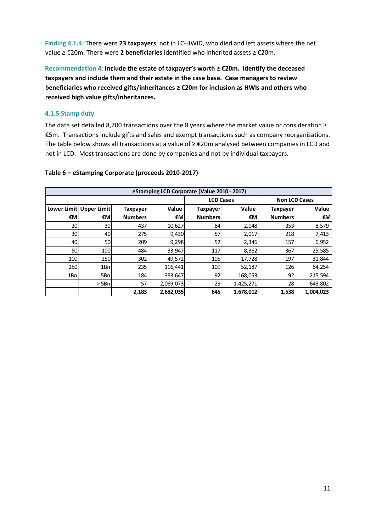**Finding 4.1.4:** There were **23 taxpayers**, not in LC-HWID, who died and left assets where the net value ≥ €20m. There were **2 beneficiaries** identified who inherited assets ≥ €20m.

**Recommendation 4**: **Include the estate of taxpayer's worth ≥ €20m. Identify the deceased taxpayers and include them and their estate in the case base. Case managers to review beneficiaries who received gifts/inheritances ≥ €20m for inclusion as HWIs and others who received high value gifts/inheritances.** 

# **4.1.5 Stamp duty**

The data set detailed 8,700 transactions over the 8 years where the market value or consideration ≥ €5m. Transactions include gifts and sales and exempt transactions such as company reorganisations. The table below shows all transactions at a value of ≥ €20m analysed between companies in LCD and not in LCD. Most transactions are done by companies and not by individual taxpayers.

|             | eStamping LCD Corporate (Value 2010 - 2017) |                 |           |                  |           |                      |           |  |  |  |
|-------------|---------------------------------------------|-----------------|-----------|------------------|-----------|----------------------|-----------|--|--|--|
|             |                                             |                 |           | <b>LCD Cases</b> |           | <b>Non LCD Cases</b> |           |  |  |  |
| Lower Limit | Upper Limit                                 | <b>Taxpayer</b> | Value     | <b>Taxpayer</b>  | Value     | <b>Taxpayer</b>      | Value     |  |  |  |
| €M          | €M                                          | <b>Numbers</b>  | €M        | <b>Numbers</b>   | €M        | <b>Numbers</b>       | €M        |  |  |  |
| 20          | 30                                          | 437             | 10,627    | 84               | 2,048     | 353                  | 8,579     |  |  |  |
| 30          | 40                                          | 275             | 9,430     | 57               | 2,017     | 218                  | 7,413     |  |  |  |
| 40          | 50                                          | 209             | 9,298     | 52               | 2,346     | 157                  | 6,952     |  |  |  |
| 50          | 100                                         | 484             | 33,947    | 117              | 8,362     | 367                  | 25,585    |  |  |  |
| 100         | 250                                         | 302             | 49,572    | 105              | 17,728    | 197                  | 31,844    |  |  |  |
| 250         | 1Bn                                         | 235             | 116,441   | 109              | 52,187    | 126                  | 64,254    |  |  |  |
| 1Bn         | 5Bn                                         | 184             | 383,647   | 92               | 168,053   | 92                   | 215,594   |  |  |  |
|             | $>$ 5Bn                                     | 57              | 2,069,073 | 29               | 1,425,271 | 28                   | 643,802   |  |  |  |
|             |                                             | 2,183           | 2,682,035 | 645              | 1,678,012 | 1,538                | 1,004,023 |  |  |  |

#### **Table 6 – eStamping Corporate (proceeds 2010-2017)**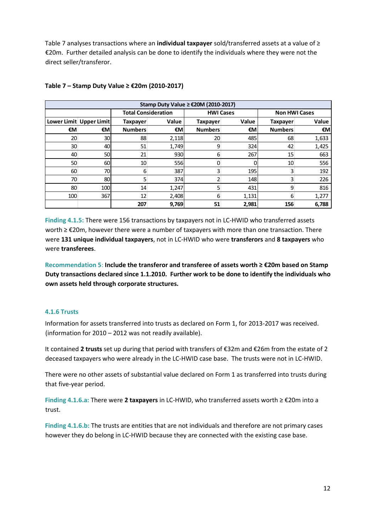Table 7 analyses transactions where an **individual taxpayer** sold/transferred assets at a value of ≥ €20m. Further detailed analysis can be done to identify the individuals where they were not the direct seller/transferor.

| Stamp Duty Value ≥ €20M (2010-2017) |                         |                            |       |                  |       |                      |       |  |  |
|-------------------------------------|-------------------------|----------------------------|-------|------------------|-------|----------------------|-------|--|--|
|                                     |                         | <b>Total Consideration</b> |       | <b>HWI Cases</b> |       | <b>Non HWI Cases</b> |       |  |  |
|                                     | Lower Limit Upper Limit | <b>Taxpayer</b>            | Value | <b>Taxpayer</b>  | Value | Taxpayer             | Value |  |  |
| €M                                  | €M                      | <b>Numbers</b>             | €M    | <b>Numbers</b>   | €M    | <b>Numbers</b>       | €M    |  |  |
| 20                                  | 30                      | 88                         | 2,118 | 20               | 485   | 68                   | 1,633 |  |  |
| 30                                  | 40                      | 51                         | 1,749 | 9                | 324   | 42                   | 1,425 |  |  |
| 40                                  | 50                      | 21                         | 930   | 6                | 267   | 15                   | 663   |  |  |
| 50                                  | 60                      | 10                         | 556   | 0                |       | 10                   | 556   |  |  |
| 60                                  | 70                      | 6                          | 387   | 3                | 195   | 3                    | 192   |  |  |
| 70                                  | 80                      | 5                          | 374   |                  | 148   | 3                    | 226   |  |  |
| 80                                  | 100                     | 14                         | 1,247 |                  | 431   | 9                    | 816   |  |  |
| 100                                 | 367                     | 12                         | 2,408 | 6                | 1,131 | 6                    | 1,277 |  |  |
|                                     |                         | 207                        | 9,769 | 51               | 2,981 | 156                  | 6,788 |  |  |

## **Table 7 – Stamp Duty Value ≥ €20m (2010-2017)**

**Finding 4.1.5:** There were 156 transactions by taxpayers not in LC-HWID who transferred assets worth ≥ €20m, however there were a number of taxpayers with more than one transaction. There were **131 unique individual taxpayers**, not in LC-HWID who were **transferors** and **8 taxpayers** who were **transferees**.

**Recommendation 5**: **Include the transferor and transferee of assets worth ≥ €20m based on Stamp Duty transactions declared since 1.1.2010. Further work to be done to identify the individuals who own assets held through corporate structures.** 

# **4.1.6 Trusts**

Information for assets transferred into trusts as declared on Form 1, for 2013-2017 was received. (information for 2010 – 2012 was not readily available).

It contained **2 trusts** set up during that period with transfers of €32m and €26m from the estate of 2 deceased taxpayers who were already in the LC-HWID case base. The trusts were not in LC-HWID.

There were no other assets of substantial value declared on Form 1 as transferred into trusts during that five-year period.

**Finding 4.1.6.a:** There were **2 taxpayers** in LC-HWID, who transferred assets worth ≥ €20m into a trust.

**Finding 4.1.6.b:** The trusts are entities that are not individuals and therefore are not primary cases however they do belong in LC-HWID because they are connected with the existing case base.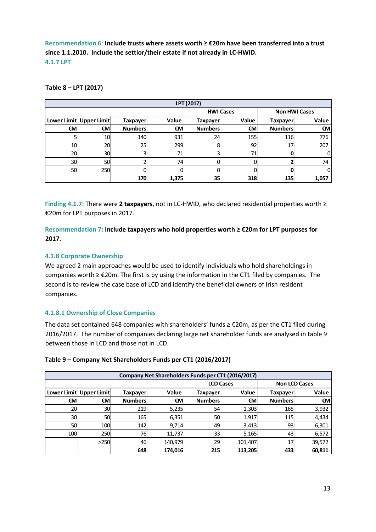**Recommendation 6**: **Include trusts where assets worth ≥ €20m have been transferred into a trust since 1.1.2010. Include the settlor/their estate if not already in LC-HWID. 4.1.7 LPT** 

|    | LPT (2017)                |                |       |                |                  |                      |       |  |  |  |
|----|---------------------------|----------------|-------|----------------|------------------|----------------------|-------|--|--|--|
|    |                           |                |       |                | <b>HWI Cases</b> | <b>Non HWI Cases</b> |       |  |  |  |
|    | Lower Limit   Upper Limit | Taxpayer       | Value | Taxpayer       | Value            | <b>Taxpayer</b>      | Value |  |  |  |
| €M | €M                        | <b>Numbers</b> | €M    | <b>Numbers</b> | €M               | <b>Numbers</b>       | €M    |  |  |  |
|    | 10                        | 140            | 931   | 24             | 155              | 116                  | 776   |  |  |  |
| 10 | 20                        | 25             | 299   | 8              | 92               | 17                   | 207   |  |  |  |
| 20 | 30                        | 3              | 71    |                | 71               |                      |       |  |  |  |
| 30 | 50                        |                | 74    |                |                  |                      | 74    |  |  |  |
| 50 | 250                       |                |       |                |                  |                      | 0     |  |  |  |
|    |                           | 170            | 1,375 | 35             | 318              | 135                  | 1,057 |  |  |  |

# **Table 8 – LPT (2017)**

**Finding 4.1.7:** There were **2 taxpayers**, not in LC-HWID, who declared residential properties worth ≥ €20m for LPT purposes in 2017.

**Recommendation 7: Include taxpayers who hold properties worth ≥ €20m for LPT purposes for 2017.** 

# **4.1.8 Corporate Ownership**

We agreed 2 main approaches would be used to identify individuals who hold shareholdings in companies worth ≥ €20m. The first is by using the information in the CT1 filed by companies. The second is to review the case base of LCD and identify the beneficial owners of Irish resident companies.

## **4.1.8.1 Ownership of Close Companies**

The data set contained 648 companies with shareholders' funds ≥ €20m, as per the CT1 filed during 2016/2017. The number of companies declaring large net shareholder funds are analysed in table 9 between those in LCD and those not in LCD.

| Table 9 – Company Net Shareholders Funds per CT1 (2016/2017) |  |
|--------------------------------------------------------------|--|
|                                                              |  |

|     | Company Net Shareholders Funds per CT1 (2016/2017) |                |         |                  |         |                 |                      |  |  |  |
|-----|----------------------------------------------------|----------------|---------|------------------|---------|-----------------|----------------------|--|--|--|
|     |                                                    |                |         | <b>LCD Cases</b> |         |                 | <b>Non LCD Cases</b> |  |  |  |
|     | Lower Limit   Upper Limit                          | Taxpayer       | Value   | Taxpayer         | Value   | <b>Taxpayer</b> | Value                |  |  |  |
| €M  | €M                                                 | <b>Numbers</b> | €M      | <b>Numbers</b>   | €M      | <b>Numbers</b>  | €M                   |  |  |  |
| 20  | 30                                                 | 219            | 5,235   | 54               | 1,303   | 165             | 3,932                |  |  |  |
| 30  | 50                                                 | 165            | 6,351   | 50               | 1,917   | 115             | 4,434                |  |  |  |
| 50  | 100                                                | 142            | 9,714   | 49               | 3,413   | 93              | 6,301                |  |  |  |
| 100 | 250                                                | 76             | 11,737  | 33               | 5,165   | 43              | 6,572                |  |  |  |
|     | $>250$                                             | 46             | 140,979 | 29               | 101,407 | 17              | 39,572               |  |  |  |
|     |                                                    | 648            | 174,016 | 215              | 113,205 | 433             | 60,811               |  |  |  |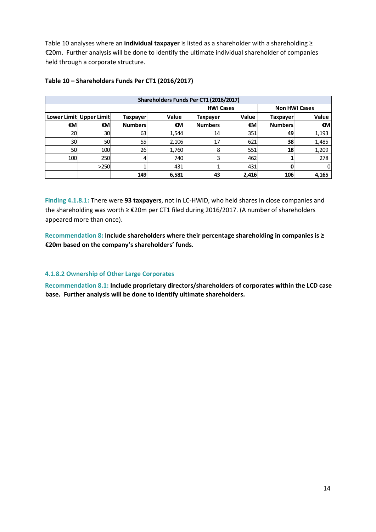Table 10 analyses where an **individual taxpayer** is listed as a shareholder with a shareholding ≥ €20m. Further analysis will be done to identify the ultimate individual shareholder of companies held through a corporate structure.

|     | Shareholders Funds Per CT1 (2016/2017) |                |                  |                |                      |                |       |  |  |  |
|-----|----------------------------------------|----------------|------------------|----------------|----------------------|----------------|-------|--|--|--|
|     |                                        |                | <b>HWI Cases</b> |                | <b>Non HWI Cases</b> |                |       |  |  |  |
|     | Lower Limit   Upper Limit              | Taxpayer       | Value            | Taxpayer       | Value                | Taxpayer       | Value |  |  |  |
| €M  | €M                                     | <b>Numbers</b> | €M               | <b>Numbers</b> | €M                   | <b>Numbers</b> | €M    |  |  |  |
| 20  | 30                                     | 63             | 1,544            | 14             | 351                  | 49             | 1,193 |  |  |  |
| 30  | 50                                     | 55             | 2,106            | 17             | 621                  | 38             | 1,485 |  |  |  |
| 50  | 100                                    | 26             | 1,760            | 8              | 551                  | 18             | 1,209 |  |  |  |
| 100 | 250                                    | 4              | 740              |                | 462                  |                | 278   |  |  |  |
|     | $>250$                                 |                | 431              |                | 431                  | 0              | 0     |  |  |  |
|     |                                        | 149            | 6,581            | 43             | 2,416                | 106            | 4,165 |  |  |  |

# **Table 10 – Shareholders Funds Per CT1 (2016/2017)**

**Finding 4.1.8.1:** There were **93 taxpayers**, not in LC-HWID, who held shares in close companies and the shareholding was worth ≥ €20m per CT1 filed during 2016/2017. (A number of shareholders appeared more than once).

**Recommendation 8: Include shareholders where their percentage shareholding in companies is ≥ €20m based on the company's shareholders' funds.** 

# **4.1.8.2 Ownership of Other Large Corporates**

**Recommendation 8.1: Include proprietary directors/shareholders of corporates within the LCD case base. Further analysis will be done to identify ultimate shareholders.**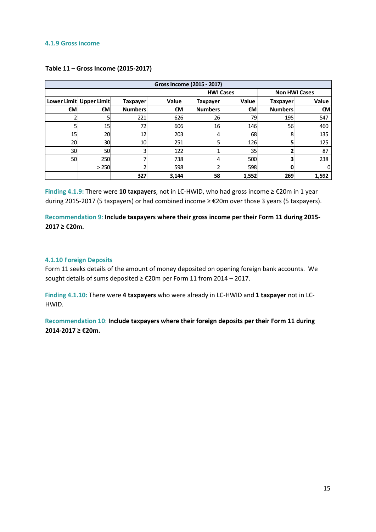#### **4.1.9 Gross income**

| Gross Income (2015 - 2017) |                           |                 |                  |                |                      |                 |       |
|----------------------------|---------------------------|-----------------|------------------|----------------|----------------------|-----------------|-------|
|                            |                           |                 | <b>HWI Cases</b> |                | <b>Non HWI Cases</b> |                 |       |
|                            | Lower Limit   Upper Limit | <b>Taxpayer</b> | Value            | Taxpayer       | Value                | <b>Taxpayer</b> | Value |
| €M                         | €M                        | <b>Numbers</b>  | €M               | <b>Numbers</b> | €M                   | <b>Numbers</b>  | €M    |
| ∠                          | 5                         | 221             | 626              | 26             | 79                   | 195             | 547   |
| 5                          | 15                        | 72              | 606              | 16             | 146                  | 56              | 460   |
| 15                         | 20                        | 12              | 203              | 4              | 68                   | 8               | 135   |
| 20                         | 30                        | 10              | 251              |                | <b>126</b>           | 5               | 125   |
| 30                         | 50                        | 3               | 122              |                | 35                   |                 | 87    |
| 50                         | 250                       | 7               | 738              | 4              | 500                  | 3               | 238   |
|                            | >250                      | ำ               | 598              |                | 598                  | 0               | 0     |
|                            |                           | 327             | 3,144            | 58             | 1,552                | 269             | 1,592 |

## **Table 11 – Gross Income (2015-2017)**

**Finding 4.1.9:** There were **10 taxpayers**, not in LC-HWID, who had gross income ≥ €20m in 1 year during 2015-2017 (5 taxpayers) or had combined income ≥ €20m over those 3 years (5 taxpayers).

**Recommendation 9**: **Include taxpayers where their gross income per their Form 11 during 2015- 2017 ≥ €20m.**

## **4.1.10 Foreign Deposits**

Form 11 seeks details of the amount of money deposited on opening foreign bank accounts. We sought details of sums deposited ≥ €20m per Form 11 from 2014 – 2017.

**Finding 4.1.10:** There were **4 taxpayers** who were already in LC-HWID and **1 taxpayer** not in LC-HWID.

**Recommendation 10**: **Include taxpayers where their foreign deposits per their Form 11 during 2014-2017 ≥ €20m.**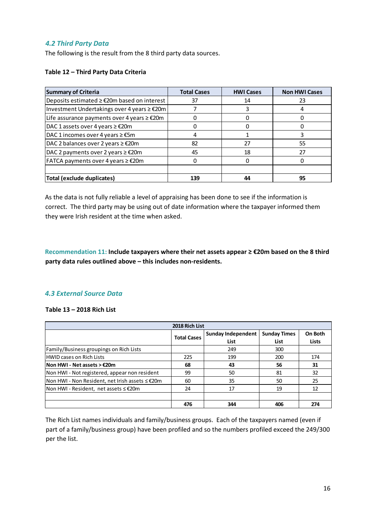# *4.2 Third Party Data*

The following is the result from the 8 third party data sources.

#### **Table 12 – Third Party Data Criteria**

| <b>Summary of Criteria</b>                                                    | <b>Total Cases</b> | <b>HWI Cases</b> | <b>Non HWI Cases</b> |
|-------------------------------------------------------------------------------|--------------------|------------------|----------------------|
| Deposits estimated ≥ €20m based on interest                                   | 37                 | 14               | 23                   |
| Investment Undertakings over 4 years ≥ €20m                                   |                    |                  |                      |
| Life assurance payments over 4 years ≥ €20m                                   |                    |                  |                      |
| DAC 1 assets over 4 years $\geq \text{\textsterling}20m$                      |                    |                  |                      |
| DAC 1 incomes over 4 years $\geq \text{\ensuremath{\mathsf{\mathfrak{E}Sm}}}$ |                    |                  |                      |
| DAC 2 balances over 2 years ≥ €20m                                            | 82                 | 27               | 55                   |
| DAC 2 payments over 2 years ≥ €20m                                            | 45                 | 18               | 27                   |
| FATCA payments over 4 years $\geq \text{\textsterling}20m$                    |                    |                  |                      |
|                                                                               |                    |                  |                      |
| Total (exclude duplicates)                                                    | 139                | Δ4               | 95                   |

As the data is not fully reliable a level of appraising has been done to see if the information is correct. The third party may be using out of date information where the taxpayer informed them they were Irish resident at the time when asked.

**Recommendation 11: Include taxpayers where their net assets appear ≥ €20m based on the 8 third party data rules outlined above – this includes non-residents.**

# *4.3 External Source Data*

#### **Table 13 – 2018 Rich List**

| 2018 Rich List                                  |                    |                    |                     |         |
|-------------------------------------------------|--------------------|--------------------|---------------------|---------|
|                                                 | <b>Total Cases</b> | Sunday Independent | <b>Sunday Times</b> | On Both |
|                                                 |                    | List               | List                | Lists   |
| Family/Business groupings on Rich Lists         |                    | 249                | 300                 |         |
| HWID cases on Rich Lists                        | 225                | 199                | 200                 | 174     |
| Non HWI - Net assets > €20m                     | 68                 | 43                 | 56                  | 31      |
| Non HWI - Not registered, appear non resident   | 99                 | 50                 | 81                  | 32      |
| Non HWI - Non Resident, net Irish assets ≤ €20m | 60                 | 35                 | 50                  | 25      |
| Non HWI - Resident, net assets ≤ €20m           | 24                 | 17                 | 19                  | 12      |
|                                                 |                    |                    |                     |         |
|                                                 | 476                | 344                | 406                 | 274     |

The Rich List names individuals and family/business groups. Each of the taxpayers named (even if part of a family/business group) have been profiled and so the numbers profiled exceed the 249/300 per the list.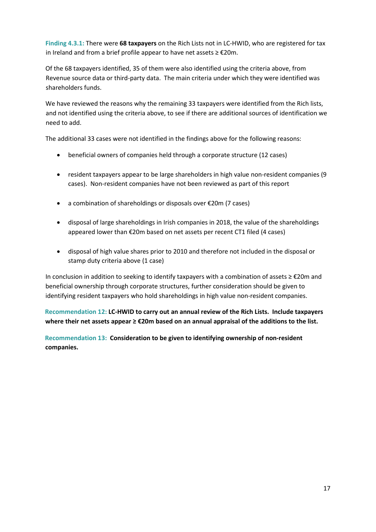**Finding 4.3.1:** There were **68 taxpayers** on the Rich Lists not in LC-HWID, who are registered for tax in Ireland and from a brief profile appear to have net assets ≥ €20m.

Of the 68 taxpayers identified, 35 of them were also identified using the criteria above, from Revenue source data or third-party data. The main criteria under which they were identified was shareholders funds.

We have reviewed the reasons why the remaining 33 taxpayers were identified from the Rich lists, and not identified using the criteria above, to see if there are additional sources of identification we need to add.

The additional 33 cases were not identified in the findings above for the following reasons:

- beneficial owners of companies held through a corporate structure (12 cases)
- resident taxpayers appear to be large shareholders in high value non-resident companies (9 cases). Non-resident companies have not been reviewed as part of this report
- a combination of shareholdings or disposals over €20m (7 cases)
- disposal of large shareholdings in Irish companies in 2018, the value of the shareholdings appeared lower than €20m based on net assets per recent CT1 filed (4 cases)
- disposal of high value shares prior to 2010 and therefore not included in the disposal or stamp duty criteria above (1 case)

In conclusion in addition to seeking to identify taxpayers with a combination of assets ≥ €20m and beneficial ownership through corporate structures, further consideration should be given to identifying resident taxpayers who hold shareholdings in high value non-resident companies.

**Recommendation 12: LC-HWID to carry out an annual review of the Rich Lists. Include taxpayers where their net assets appear ≥ €20m based on an annual appraisal of the additions to the list.** 

**Recommendation 13: Consideration to be given to identifying ownership of non-resident companies.**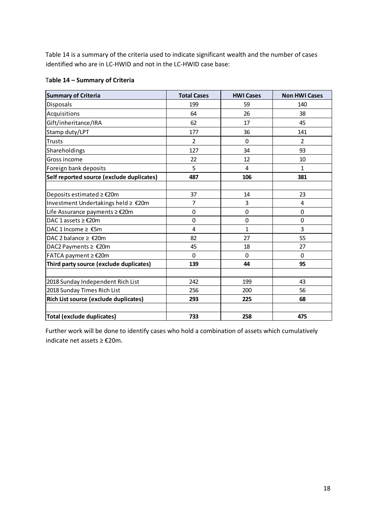Table 14 is a summary of the criteria used to indicate significant wealth and the number of cases identified who are in LC-HWID and not in the LC-HWID case base:

| <b>Summary of Criteria</b>                | <b>Total Cases</b> | <b>HWI Cases</b> | <b>Non HWI Cases</b> |
|-------------------------------------------|--------------------|------------------|----------------------|
| <b>Disposals</b>                          | 199                | 59               | 140                  |
| Acquisitions                              | 64                 | 26               | 38                   |
| Gift/inheritance/IRA                      | 62                 | 17               | 45                   |
| Stamp duty/LPT                            | 177                | 36               | 141                  |
| <b>Trusts</b>                             | $\overline{2}$     | 0                | $\overline{2}$       |
| Shareholdings                             | 127                | 34               | 93                   |
| Gross income                              | 22                 | 12               | 10                   |
| Foreign bank deposits                     | 5                  | 4                | 1                    |
| Self reported source (exclude duplicates) | 487                | 106              | 381                  |
|                                           |                    |                  |                      |
| Deposits estimated ≥ €20m                 | 37                 | 14               | 23                   |
| Investment Undertakings held ≥ €20m       | $\overline{7}$     | 3                | 4                    |
| Life Assurance payments ≥ €20m            | 0                  | $\Omega$         | $\Omega$             |
| DAC 1 assets ≥ €20m                       | 0                  | $\Omega$         | 0                    |
| DAC 1 Income ≥ $€5m$                      | 4                  | 1                | 3                    |
| DAC 2 balance $\geq$ €20m                 | 82                 | 27               | 55                   |
| DAC2 Payments ≥ €20m                      | 45                 | 18               | 27                   |
| FATCA payment ≥ €20m                      | $\Omega$           | $\Omega$         | $\Omega$             |
| Third party source (exclude duplicates)   | 139                | 44               | 95                   |
|                                           |                    |                  |                      |
| 2018 Sunday Independent Rich List         | 242                | 199              | 43                   |
| 2018 Sunday Times Rich List               | 256                | 200              | 56                   |
| Rich List source (exclude duplicates)     | 293                | 225              | 68                   |
|                                           |                    |                  |                      |
| <b>Total (exclude duplicates)</b>         | 733                | 258              | 475                  |

# T**able 14 – Summary of Criteria**

Further work will be done to identify cases who hold a combination of assets which cumulatively indicate net assets ≥ €20m.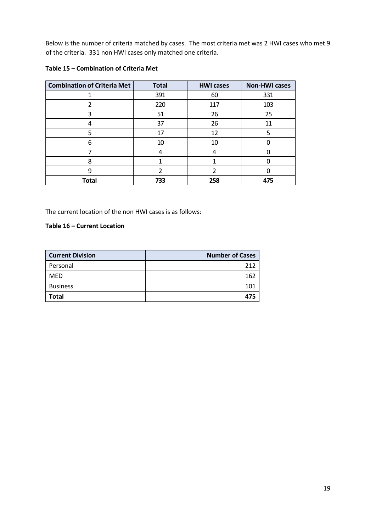Below is the number of criteria matched by cases. The most criteria met was 2 HWI cases who met 9 of the criteria. 331 non HWI cases only matched one criteria.

| <b>Combination of Criteria Met</b> | <b>Total</b> | <b>HWI cases</b> | <b>Non-HWI cases</b> |
|------------------------------------|--------------|------------------|----------------------|
|                                    | 391          | 60               | 331                  |
| 2                                  | 220          | 117              | 103                  |
| ว                                  | 51           | 26               | 25                   |
|                                    | 37           | 26               | 11                   |
|                                    | 17           | 12               | 5                    |
| 6                                  | 10           | 10               |                      |
|                                    |              |                  |                      |
| 8                                  |              |                  |                      |
| q                                  | າ            | っ                |                      |
| <b>Total</b>                       | 733          | 258              | 475                  |

# **Table 15 – Combination of Criteria Met**

The current location of the non HWI cases is as follows:

# **Table 16 – Current Location**

| <b>Current Division</b> | <b>Number of Cases</b> |
|-------------------------|------------------------|
| Personal                | ว1ว                    |
| <b>MED</b>              | 162                    |
| <b>Business</b>         | 101                    |
| <b>Total</b>            |                        |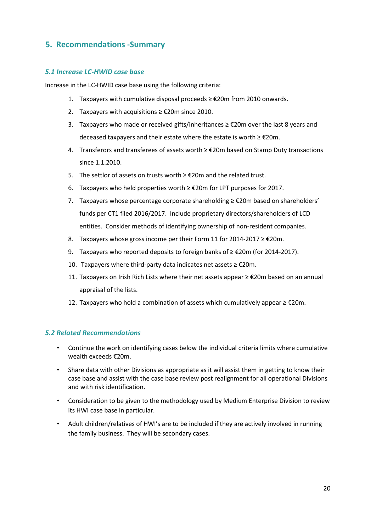# <span id="page-20-0"></span>**5. Recommendations -Summary**

# *5.1 Increase LC-HWID case base*

Increase in the LC-HWID case base using the following criteria:

- 1. Taxpayers with cumulative disposal proceeds ≥ €20m from 2010 onwards.
- 2. Taxpayers with acquisitions ≥ €20m since 2010.
- 3. Taxpayers who made or received gifts/inheritances ≥ €20m over the last 8 years and deceased taxpayers and their estate where the estate is worth ≥ €20m.
- 4. Transferors and transferees of assets worth ≥ €20m based on Stamp Duty transactions since 1.1.2010.
- 5. The settlor of assets on trusts worth ≥ €20m and the related trust.
- 6. Taxpayers who held properties worth ≥ €20m for LPT purposes for 2017.
- 7. Taxpayers whose percentage corporate shareholding ≥ €20m based on shareholders' funds per CT1 filed 2016/2017. Include proprietary directors/shareholders of LCD entities. Consider methods of identifying ownership of non-resident companies.
- 8. Taxpayers whose gross income per their Form 11 for 2014-2017 ≥ €20m.
- 9. Taxpayers who reported deposits to foreign banks of ≥ €20m (for 2014-2017).
- 10. Taxpayers where third-party data indicates net assets ≥ €20m.
- 11. Taxpayers on Irish Rich Lists where their net assets appear ≥ €20m based on an annual appraisal of the lists.
- 12. Taxpayers who hold a combination of assets which cumulatively appear ≥ €20m.

# *5.2 Related Recommendations*

- Continue the work on identifying cases below the individual criteria limits where cumulative wealth exceeds €20m.
- Share data with other Divisions as appropriate as it will assist them in getting to know their case base and assist with the case base review post realignment for all operational Divisions and with risk identification.
- Consideration to be given to the methodology used by Medium Enterprise Division to review its HWI case base in particular.
- Adult children/relatives of HWI's are to be included if they are actively involved in running the family business. They will be secondary cases.